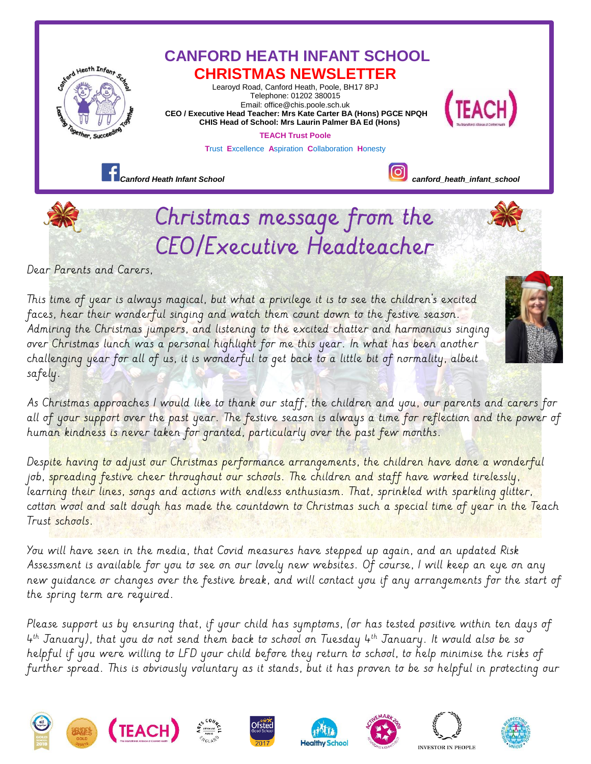

This time of year is always magical, but what a privilege it is to see the children's excited faces, hear their wonderful singing and watch them count down to the festive season. Admiring the Christmas jumpers, and listening to the excited chatter and harmonious singing over Christmas lunch was a personal highlight for me this year. In what has been another challenging year for all of us, it is wonderful to get back to a little bit of normality, albeit safely.

As Christmas approaches I would like to thank our staff, the children and you, our parents and carers for all of your support over the past year. The festive season is always a time for reflection and the power of human kindness is never taken for granted, particularly over the past few months.

Despite having to adjust our Christmas performance arrangements, the children have done a wonderful job, spreading festive cheer throughout our schools. The children and staff have worked tirelessly, learning their lines, songs and actions with endless enthusiasm. That, sprinkled with sparkling glitter, cotton wool and salt dough has made the countdown to Christmas such a special time of year in the Teach Trust schools.

You will have seen in the media, that Covid measures have stepped up again, and an updated Risk Assessment is available for you to see on our lovely new websites. Of course, I will keep an eye on any new guidance or changes over the festive break, and will contact you if any arrangements for the start of the spring term are required.

Please support us by ensuring that, if your child has symptoms, (or has tested positive within ten days of 4 th January), that you do not send them back to school on Tuesday 4th January. It would also be so helpful if you were willing to LFD your child before they return to school, to help minimise the risks of further spread. This is obviously voluntary as it stands, but it has proven to be so helpful in protecting our















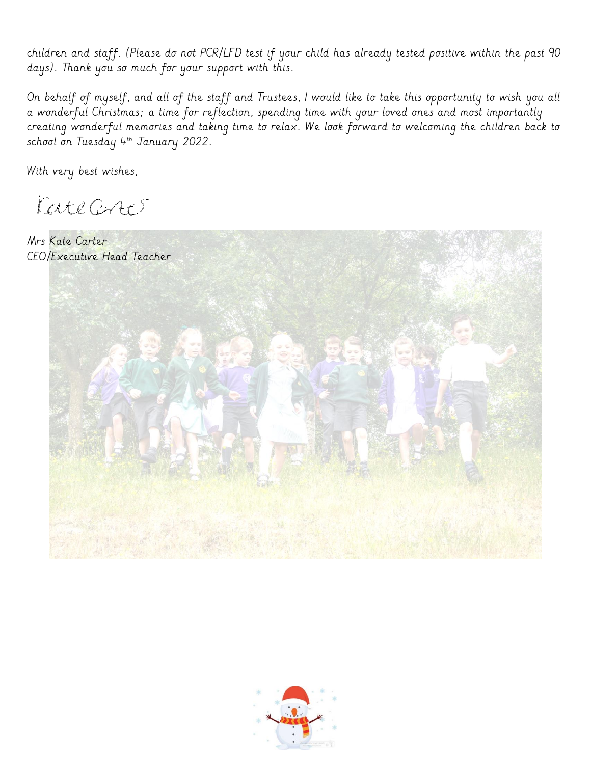children and staff. (Please do not PCR/LFD test if your child has already tested positive within the past 90 days). Thank you so much for your support with this.

On behalf of myself, and all of the staff and Trustees, I would like to take this opportunity to wish you all a wonderful Christmas; a time for reflection, spending time with your loved ones and most importantly creating wonderful memories and taking time to relax. We look forward to welcoming the children back to school on Tuesday 4th January 2022.

With very best wishes,

KateGret

Mrs Kate Carter CEO/Executive Head Teacher



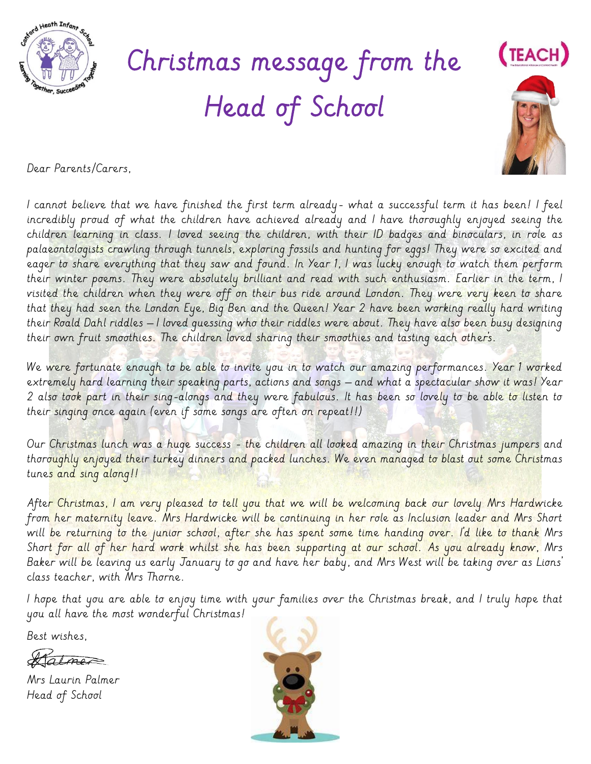

## Christmas message from the Head of School



Dear Parents/Carers,

I cannot believe that we have finished the first term already- what a successful term it has been! I feel incredibly proud of what the children have achieved already and I have thoroughly enjoyed seeing the children learning in class. I loved seeing the children, with their ID badges and binoculars, in role as palaeontologists crawling through tunnels, exploring fossils and hunting for eggs! They were so excited and eager to share everything that they saw and found. In Year 1, I was lucky enough to watch them perform their winter poems. They were absolutely brilliant and read with such enthusiasm. Earlier in the term, I visited the children when they were off on their bus ride around London. They were very keen to share that they had seen the London Eye, Big Ben and the Queen! Year 2 have been working really hard writing their Roald Dahl riddles – I loved guessing who their riddles were about. They have also been busy designing their own fruit smoothies. The children loved sharing their smoothies and tasting each other's.

We were fortunate enough to be able to invite you in to watch our amazing performances. Year 1 worked extremely hard learning their speaking parts, actions and songs – and what a spectacular show it was! Year 2 also took part in their sing-alongs and they were fabulous. It has been so lovely to be able to listen to their singing once again (even if some songs are often on repeat!!)

Our Christmas lunch was a huge success - the children all looked amazing in their Christmas jumpers and thoroughly enjoyed their turkey dinners and packed lunches. We even managed to blast out some Christmas tunes and sing along!!

After Christmas, I am very pleased to tell you that we will be welcoming back our lovely Mrs Hardwicke from her maternity leave. Mrs Hardwicke will be continuing in her role as Inclusion leader and Mrs Short will be returning to the junior school, after she has spent some time handing over. I'd like to thank Mrs Short for all of her hard work whilst she has been supporting at our school. As you already know, Mrs Baker will be leaving us early January to go and have her baby, and Mrs West will be taking over as Lions' class teacher, with Mrs Thorne.

I hope that you are able to enjoy time with your families over the Christmas break, and I truly hope that you all have the most wonderful Christmas!

Best wishes,

Statmer

Mrs Laurin Palmer Head of School

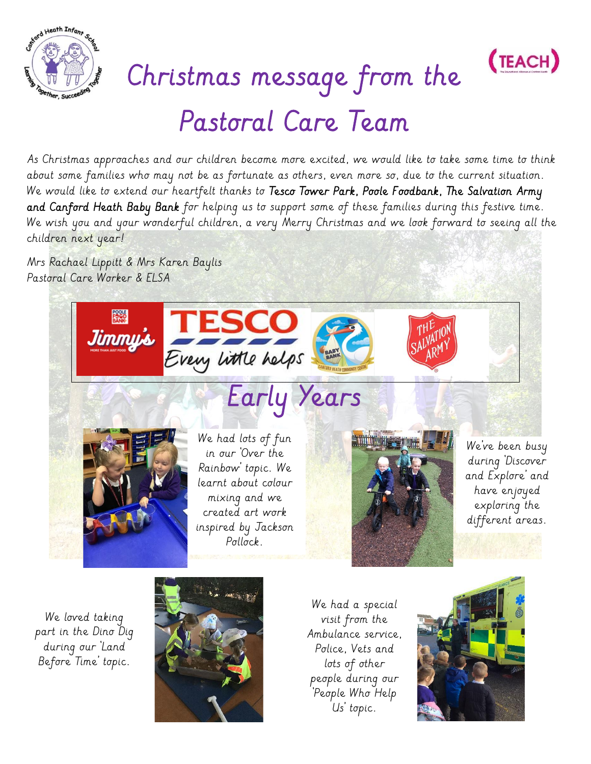



## Christmas message from the Pastoral Care Team

As Christmas approaches and our children become more excited, we would like to take some time to think about some families who may not be as fortunate as others, even more so, due to the current situation. We would like to extend our heartfelt thanks to Tesco Tower Park, Poole Foodbank, The Salvation Army and Canford Heath Baby Bank for helping us to support some of these families during this festive time. We wish you and your wonderful children, a very Merry Christmas and we look forward to seeing all the children next year!

Mrs Rachael Lippitt & Mrs Karen Baylis Pastoral Care Worker & ELSA



We loved taking part in the Dino Dig during our 'Land Before Time' topic.



We had a special visit from the Ambulance service, Police, Vets and lots of other people during our 'People Who Help Us' topic.

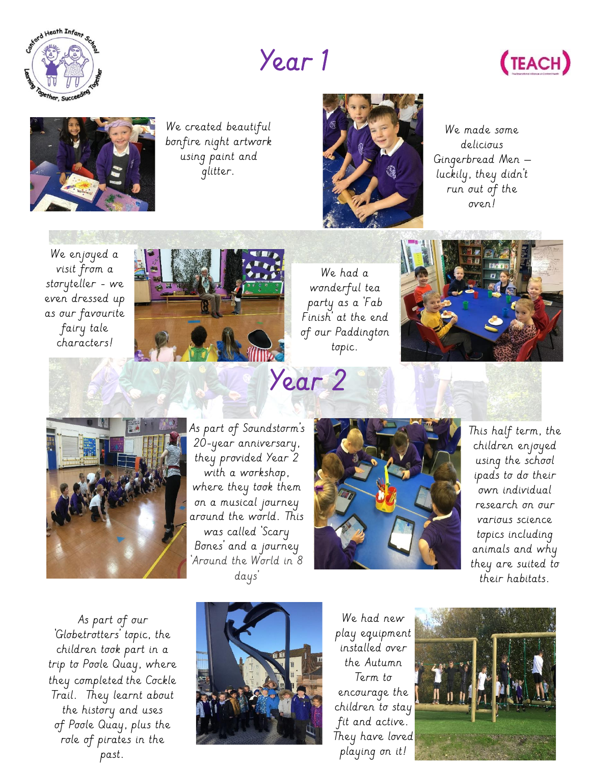

## Year 1





We created beautiful bonfire night artwork using paint and glitter.



We made some delicious Gingerbread Men – luckily, they didn't run out of the oven!





We had a wonderful tea party as a 'Fab Finish' at the end of our Paddington topic.





 As part of Soundstorm's they provided Year 2 where they took them<br>on a musical iourneu rana ine worta.<br>was called 'Scary 'Around the World in 8 20-year anniversary, with a workshop, on a musical journey around the world. This Bones' and a journey days'



This half term, the children enjoyed using the school ipads to do their own individual research on our various science topics including animals and why they are suited to their habitats.

 role of pirates in the As part of our 'Globetrotters' topic, the children took part in a trip to Poole Quay, where they completed the Cockle Trail. They learnt about the history and uses of Poole Quay, plus the past.



We had new play equipment installed over the Autumn Term to encourage the children to stay fit and active. They have loved playing on it!